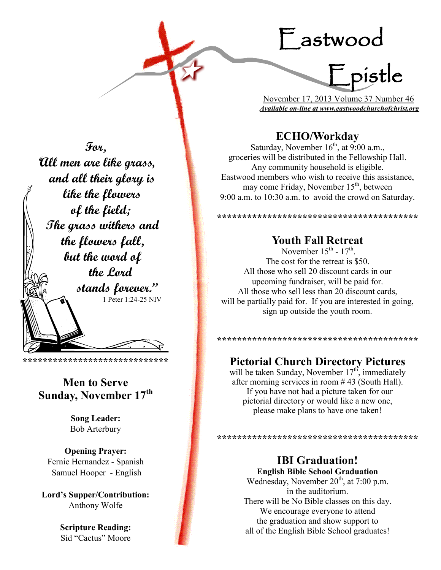# Fastwood

 $=$  pistle

November 17, 2013 Volume 37 Number 46 Available on-line at www.eastwoodchurchofchrist.org

## **ECHO/Workday**

Saturday, November  $16^{th}$ , at 9:00 a.m., groceries will be distributed in the Fellowship Hall. Any community household is eligible. Eastwood members who wish to receive this assistance, may come Friday, November 15<sup>th</sup>, between 9:00 a.m. to 10:30 a.m. to avoid the crowd on Saturday.

## **Youth Fall Retreat**

November  $15^{th}$  -  $17^{th}$ The cost for the retreat is \$50. All those who sell 20 discount cards in our upcoming fundraiser, will be paid for. All those who sell less than 20 discount cards, will be partially paid for. If you are interested in going. sign up outside the youth room.

## **Pictorial Church Directory Pictures**

will be taken Sunday, November 17<sup>th</sup>, immediately after morning services in room  $#43$  (South Hall). If you have not had a picture taken for our pictorial directory or would like a new one, please make plans to have one taken!

## **IBI** Graduation!

**English Bible School Graduation** Wednesday, November 20<sup>th</sup>, at 7:00 p.m. in the auditorium. There will be No Bible classes on this day. We encourage everyone to attend the graduation and show support to all of the English Bible School graduates!

For, "All men are like grass, and all their glory is like the flowers of the field; The grass withers and the flowers fall, but the word of the Lord stands forever." 1 Peter 1:24-25 NIV

#### \*\*\*\*\*\*\*\*\*\*\*\*\*\*\*\*\*\*\*\*\*\*\*\*\*\*\*\*\*\*\*\*\*\*

## **Men to Serve** Sunday, November 17th

**Song Leader: Bob Arterbury** 

**Opening Prayer:** Fernie Hernandez - Spanish Samuel Hooper - English

Lord's Supper/Contribution: Anthony Wolfe

> **Scripture Reading:** Sid "Cactus" Moore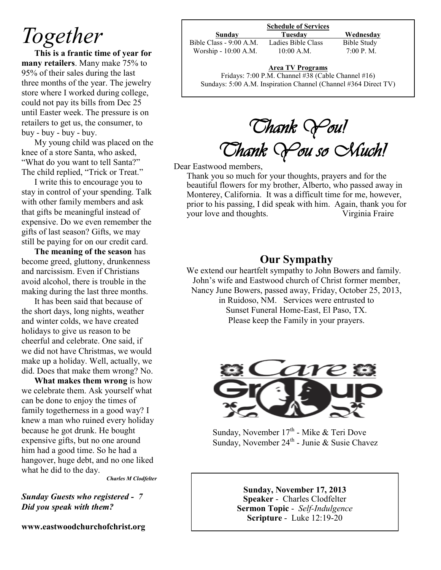# *Together*

**This is a frantic time of year for many retailers**. Many make 75% to 95% of their sales during the last three months of the year. The jewelry store where I worked during college, could not pay its bills from Dec 25 until Easter week. The pressure is on retailers to get us, the consumer, to buy - buy - buy - buy.

My young child was placed on the knee of a store Santa, who asked, "What do you want to tell Santa?" The child replied, "Trick or Treat."

I write this to encourage you to stay in control of your spending. Talk with other family members and ask that gifts be meaningful instead of expensive. Do we even remember the gifts of last season? Gifts, we may still be paying for on our credit card.

**The meaning of the season** has become greed, gluttony, drunkenness and narcissism. Even if Christians avoid alcohol, there is trouble in the making during the last three months.

It has been said that because of the short days, long nights, weather and winter colds, we have created holidays to give us reason to be cheerful and celebrate. One said, if we did not have Christmas, we would make up a holiday. Well, actually, we did. Does that make them wrong? No.

**What makes them wrong** is how we celebrate them. Ask yourself what can be done to enjoy the times of family togetherness in a good way? I knew a man who ruined every holiday because he got drunk. He bought expensive gifts, but no one around him had a good time. So he had a hangover, huge debt, and no one liked what he did to the day.

*Charles M Clodfelter*

*Sunday Guests who registered - 7 Did you speak with them?*

**www.eastwoodchurchofchrist.org**

#### **Schedule of Services**

Bible Class - 9:00 A.M. Ladies Bible Class Bible Study Worship - 10:00 A.M. 10:00 A.M. 7:00 P.M.

**Sunday Tuesday Wednesday**

## **Area TV Programs**

Fridays: 7:00 P.M. Channel #38 (Cable Channel #16) Sundays: 5:00 A.M. Inspiration Channel (Channel #364 Direct TV)

*Thank You! Thank You so Much!*

Dear Eastwood members,

Thank you so much for your thoughts, prayers and for the beautiful flowers for my brother, Alberto, who passed away in Monterey, California. It was a difficult time for me, however, prior to his passing, I did speak with him. Again, thank you for your love and thoughts. Virginia Fraire

## **Our Sympathy**

We extend our heartfelt sympathy to John Bowers and family. John's wife and Eastwood church of Christ former member, Nancy June Bowers, passed away, Friday, October 25, 2013, in Ruidoso, NM. Services were entrusted to Sunset Funeral Home-East, El Paso, TX. Please keep the Family in your prayers.



Sunday, November 17<sup>th</sup> - Mike & Teri Dove Sunday, November 24<sup>th</sup> - Junie & Susie Chavez

**Sunday, November 17, 2013 Speaker** - Charles Clodfelter **Sermon Topic** - *Self-Indulgence* **Scripture** - Luke 12:19-20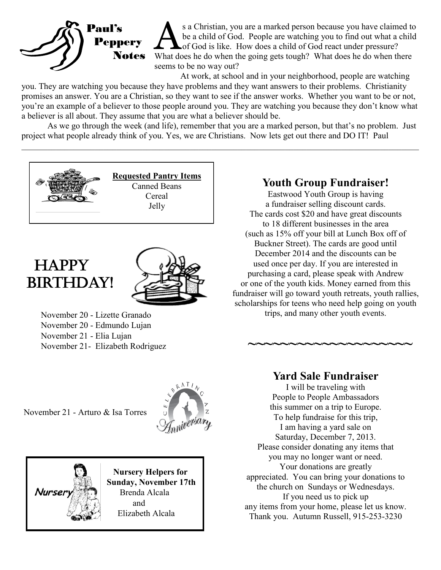

s a Christian, you are a marked person because you have claimed to be a child of God. People are watching you to find out what a child of God is like. How does a child of God react under pressure?<br>What does he do when the s a Christian, you are a marked person because you have claimed to be a child of God. People are watching you to find out what a child of God is like. How does a child of God react under pressure? seems to be no way out?

At work, at school and in your neighborhood, people are watching

you. They are watching you because they have problems and they want answers to their problems. Christianity promises an answer. You are a Christian, so they want to see if the answer works. Whether you want to be or not, you're an example of a believer to those people around you. They are watching you because they don't know what a believer is all about. They assume that you are what a believer should be.

As we go through the week (and life), remember that you are a marked person, but that's no problem. Just project what people already think of you. Yes, we are Christians. Now lets get out there and DO IT! Paul

 $\_$  , and the contribution of the contribution of the contribution of the contribution of the contribution of  $\mathcal{L}_\text{max}$ 





November 20 - Lizette Granado November 20 - Edmundo Lujan November 21 - Elia Lujan November 21- Elizabeth Rodriguez

## **Youth Group Fundraiser!**

Eastwood Youth Group is having a fundraiser selling discount cards. The cards cost \$20 and have great discounts to 18 different businesses in the area (such as 15% off your bill at Lunch Box off of Buckner Street). The cards are good until December 2014 and the discounts can be used once per day. If you are interested in purchasing a card, please speak with Andrew or one of the youth kids. Money earned from this fundraiser will go toward youth retreats, youth rallies, scholarships for teens who need help going on youth trips, and many other youth events.

**~~~~~~~~~~~~~~~~~~~~**

November 21 - Arturo & Isa Torres







## **Yard Sale Fundraiser**

I will be traveling with People to People Ambassadors this summer on a trip to Europe. To help fundraise for this trip, I am having a yard sale on Saturday, December 7, 2013. Please consider donating any items that you may no longer want or need. Your donations are greatly appreciated. You can bring your donations to the church on Sundays or Wednesdays. If you need us to pick up any items from your home, please let us know. Thank you. Autumn Russell, 915-253-3230